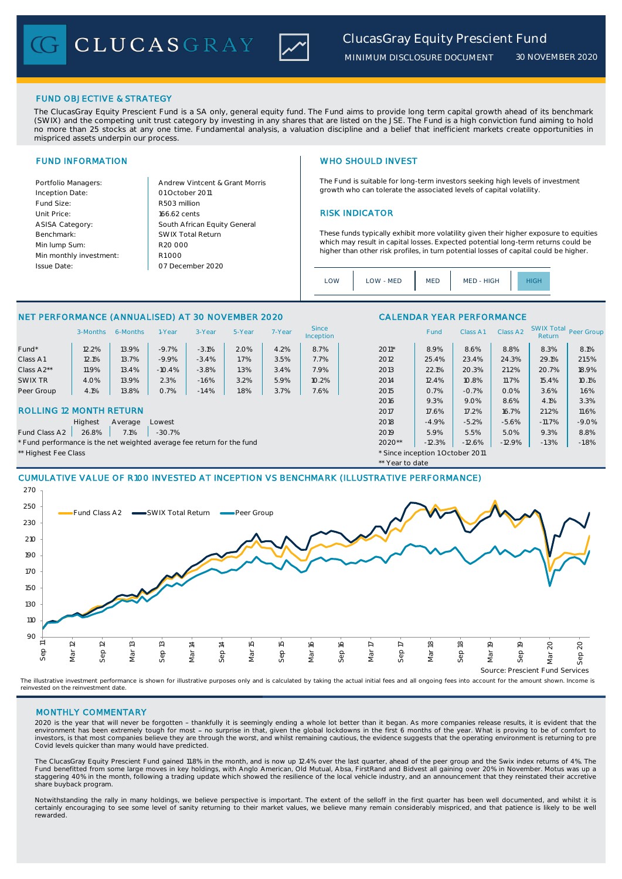CLUCASGRAY



*30 NOVEMBER 2020*

#### FUND OBJECTIVE & STRATEGY

The ClucasGray Equity Prescient Fund is a SA only, general equity fund. The Fund aims to provide long term capital growth ahead of its benchmark (SWIX) and the competing unit trust category by investing in any shares that are listed on the JSE. The Fund is a high conviction fund aiming to hold no more than 25 stocks at any one time. Fundamental analysis, a valuation discipline and a belief that inefficient markets create opportunities in mispriced assets underpin our process.

| Portfolio Managers:     |
|-------------------------|
| Inception Date:         |
| Fund Size:              |
| Unit Price:             |
| <b>ASISA Category:</b>  |
| Benchmark:              |
| Min lump Sum:           |
| Min monthly investment: |
| <b>Issue Date:</b>      |
|                         |

Andrew Vintcent & Grant Morris R503 million 166.62 cents R1 000 01 October 2011 07 December 2020 R20 000 SWIX Total Return South African Equity General

#### FUND INFORMATION NETWORKS IN THE SERVICE SERVICE SERVICE SERVICE SERVICE SERVICE SERVICE SERVICE SERVICE SERVICE SERVICE SERVICE SERVICE SERVICE SERVICE SERVICE SERVICE SERVICE SERVICE SERVICE SERVICE SERVICE SERVICE SERVI

The Fund is suitable for long-term investors seeking high levels of investment growth who can tolerate the associated levels of capital volatility.

#### **RISK INDICATOR**

These funds typically exhibit more volatility given their higher exposure to equities which may result in capital losses. Expected potential long-term returns could be higher than other risk profiles, in turn potential losses of capital could be higher.

| <b>OWC</b> | $1$ $\cap$ $M$ - $\overline{M}$ $\overline{D}$ | <b>MED</b> | MED - HIGH |  |  |
|------------|------------------------------------------------|------------|------------|--|--|
|------------|------------------------------------------------|------------|------------|--|--|

\*\* Year to date

### NET PERFORMANCE (ANNUALISED) AT 30 NOVEMBER 2020 CALENDAR YEAR PERFORMANCE

|                                | 3-Months | 6-Months | 1-Year   | 3-Year  | 5-Year | 7-Year | <b>Since</b><br>Inception |         | <b>Fund</b> | Class A1 | Class A <sub>2</sub> | <b>SWIX Total</b><br>Return | Peer Group |
|--------------------------------|----------|----------|----------|---------|--------|--------|---------------------------|---------|-------------|----------|----------------------|-----------------------------|------------|
| Fund*                          | 12.2%    | 13.9%    | $-9.7%$  | $-3.1%$ | 2.0%   | 4.2%   | 8.7%                      | $2011*$ | 8.9%        | 8.6%     | 8.8%                 | 8.3%                        | 8.1%       |
| Class A1                       | 12.1%    | 13.7%    | $-9.9%$  | $-3.4%$ | 1.7%   | 3.5%   | 7.7%                      | 2012    | 25.4%       | 23.4%    | 24.3%                | 29.1%                       | 21.5%      |
| Class A2**                     | 11.9%    | 13.4%    | $-10.4%$ | $-3.8%$ | 1.3%   | 3.4%   | 7.9%                      | 2013    | 22.1%       | 20.3%    | 21.2%                | 20.7%                       | 18.9%      |
| SWIX TR                        | 4.0%     | 13.9%    | 2.3%     | $-1.6%$ | 3.2%   | 5.9%   | 10.2%                     | 2014    | 12.4%       | 10.8%    | 11.7%                | 15.4%                       | 10.1%      |
| Peer Group                     | 4.1%     | 13.8%    | 0.7%     | $-1.4%$ | 1.8%   | 3.7%   | 7.6%                      | 2015    | 0.7%        | $-0.7%$  | 0.0%                 | 3.6%                        | 1.6%       |
|                                |          |          |          |         |        |        |                           | 2016    | 9.3%        | 9.0%     | 8.6%                 | 4.1%                        | 3.3%       |
| <b>ROLLING 12 MONTH RETURN</b> |          |          |          |         |        |        |                           | 2017    | 17.6%       | 17.2%    | 16.7%                | 21.2%                       | 11.6%      |
|                                | Highest  | Average  | Lowest   |         |        |        |                           | 2018    | $-4.9%$     | $-5.2%$  | $-5.6%$              | $-11.7%$                    | $-9.0%$    |

### Fund Class A2 | 26.8% | 7.1% | -30.7% 2019 2019 2019 2019 2019 2019 2019 5.9% | 5.0% | 9.3% | 8.8% | 8.8%

\* Fund performance is the net weighted average fee return for the fund 2020<sup>\*</sup>\* -12.3% -12.3% -12.6% -12.9% -1.3% -1.8%

\*\* Highest Fee Class \* Since inception 1 October 2011

# CUMULATIVE VALUE OF R100 INVESTED AT INCEPTION VS BENCHMARK (ILLUSTRATIVE PERFORMANCE)



The illustrative investment performance is shown for illustrative purposes only and is calculated by taking the actual initial fees and all ongoing fees into account for the amount shown. Income is reinvested on the reinvestment date.

#### MONTHLY COMMENTARY

2020 is the year that will never be forgotten - thankfully it is seemingly ending a whole lot better than it began. As more companies release results, it is evident that the<br>environment has been extremely tough for most - Covid levels quicker than many would have predicted.

The ClucasGray Equity Prescient Fund gained 11.8% in the month, and is now up 12.4% over the last quarter, ahead of the peer group and the Swix index returns of 4%. The Fund benefitted from some large moves in key holdings, with Anglo American, Old Mutual, Absa, FirstRand and Bidvest all gaining over 20% in November. Motus was up a<br>staggering 40% in the month, following a trading update w share buyback program.

Notwithstanding the rally in many holdings, we believe perspective is important. The extent of the selloff in the first quarter has been well documented, and whilst it is certainly encouraging to see some level of sanity returning to their market values, we believe many remain considerably mispriced, and that patience is likely to be well rewarded.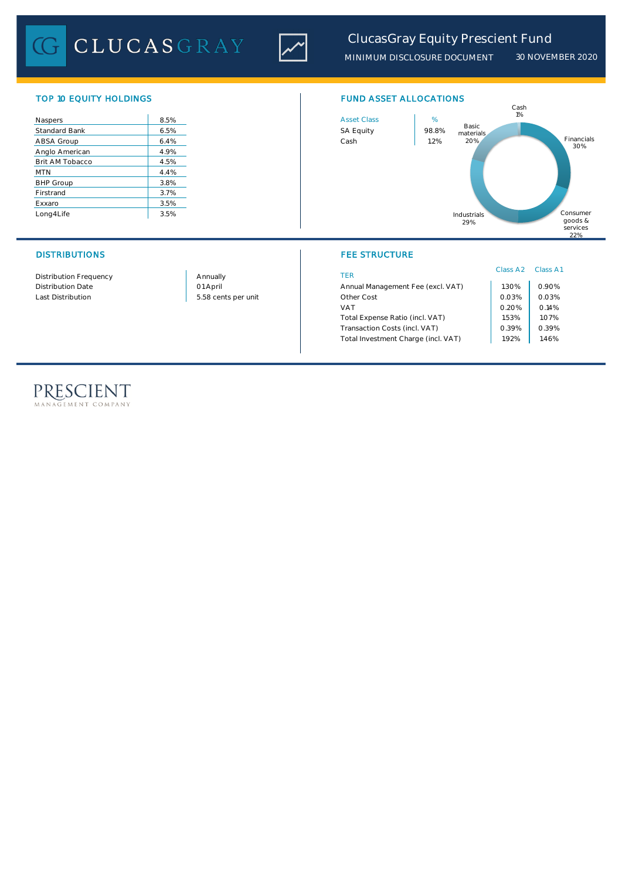CLUCASGRAY



| Naspers              | 8.5% | <b>Asset Class</b> | %     |
|----------------------|------|--------------------|-------|
| <b>Standard Bank</b> | 6.5% | <b>SA Equity</b>   | 98.89 |
| ABSA Group           | 6.4% | Cash               | 1.2%  |
| Anglo American       | 4.9% |                    |       |
| Brit AM Tobacco      | 4.5% |                    |       |
| <b>MTN</b>           | 4.4% |                    |       |
| <b>BHP Group</b>     | 3.8% |                    |       |
| Firstrand            | 3.7% |                    |       |
| Exxaro               | 3.5% |                    |       |
| Long4Life            | 3.5% |                    |       |

### DISTRIBUTIONS FEE STRUCTURE

Distribution Frequency Distribution Date

Last Distribution 1.03% 0.03% 0.03% 0.03% 0.03% 0.03% 0.03% 0.03% 0.03% 0.03% 0.03% 0.03% 0.03% 0.03% 0.03% 0.0 01 April Annually

# TOP 10 EQUITY HOLDINGS FUND ASSET ALLOCATIONS



| <b>TFR</b>                          | Class A <sub>2</sub> Class A1 |       |
|-------------------------------------|-------------------------------|-------|
| Annual Management Fee (excl. VAT)   | 1.30%                         | 0.90% |
| Other Cost                          | 0.03%                         | 0.03% |
| <b>VAT</b>                          | 0.20%                         | 0.14% |
| Total Expense Ratio (incl. VAT)     | 1.53%                         | 1.07% |
| Transaction Costs (incl. VAT)       | 0.39%                         | 0.39% |
| Total Investment Charge (incl. VAT) | 192%                          | 1.46% |